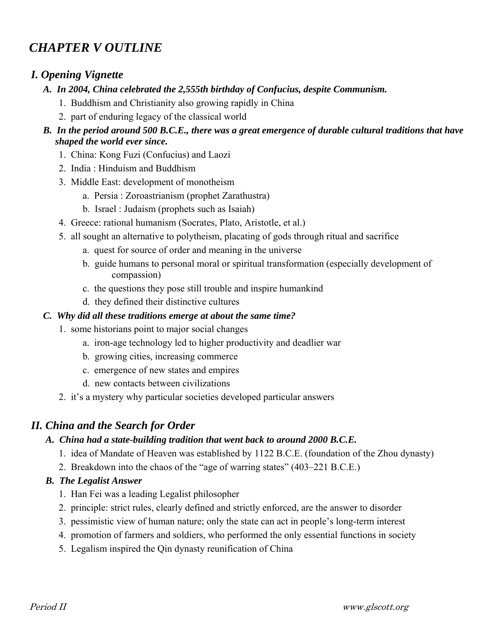# *CHAPTER V OUTLINE*

# *I. Opening Vignette*

- *A. In 2004, China celebrated the 2,555th birthday of Confucius, despite Communism.* 
	- 1. Buddhism and Christianity also growing rapidly in China
	- 2. part of enduring legacy of the classical world

### *B. In the period around 500 B.C.E., there was a great emergence of durable cultural traditions that have shaped the world ever since.*

- 1. China: Kong Fuzi (Confucius) and Laozi
- 2. India : Hinduism and Buddhism
- 3. Middle East: development of monotheism
	- a. Persia : Zoroastrianism (prophet Zarathustra)
	- b. Israel : Judaism (prophets such as Isaiah)
- 4. Greece: rational humanism (Socrates, Plato, Aristotle, et al.)
- 5. all sought an alternative to polytheism, placating of gods through ritual and sacrifice
	- a. quest for source of order and meaning in the universe
	- b. guide humans to personal moral or spiritual transformation (especially development of compassion)
	- c. the questions they pose still trouble and inspire humankind
	- d. they defined their distinctive cultures

### *C. Why did all these traditions emerge at about the same time?*

- 1. some historians point to major social changes
	- a. iron-age technology led to higher productivity and deadlier war
	- b. growing cities, increasing commerce
	- c. emergence of new states and empires
	- d. new contacts between civilizations
- 2. it's a mystery why particular societies developed particular answers

### *II. China and the Search for Order*

### *A. China had a state-building tradition that went back to around 2000 B.C.E.*

- 1. idea of Mandate of Heaven was established by 1122 B.C.E. (foundation of the Zhou dynasty)
- 2. Breakdown into the chaos of the "age of warring states" (403–221 B.C.E.)

### *B. The Legalist Answer*

- 1. Han Fei was a leading Legalist philosopher
- 2. principle: strict rules, clearly defined and strictly enforced, are the answer to disorder
- 3. pessimistic view of human nature; only the state can act in people's long-term interest
- 4. promotion of farmers and soldiers, who performed the only essential functions in society
- 5. Legalism inspired the Qin dynasty reunification of China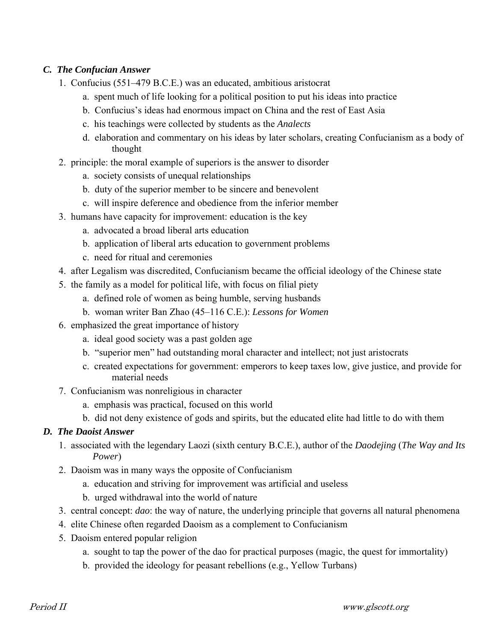### *C. The Confucian Answer*

- 1. Confucius (551–479 B.C.E.) was an educated, ambitious aristocrat
	- a. spent much of life looking for a political position to put his ideas into practice
	- b. Confucius's ideas had enormous impact on China and the rest of East Asia
	- c. his teachings were collected by students as the *Analects*
	- d. elaboration and commentary on his ideas by later scholars, creating Confucianism as a body of thought
- 2. principle: the moral example of superiors is the answer to disorder
	- a. society consists of unequal relationships
	- b. duty of the superior member to be sincere and benevolent
	- c. will inspire deference and obedience from the inferior member
- 3. humans have capacity for improvement: education is the key
	- a. advocated a broad liberal arts education
	- b. application of liberal arts education to government problems
	- c. need for ritual and ceremonies
- 4. after Legalism was discredited, Confucianism became the official ideology of the Chinese state
- 5. the family as a model for political life, with focus on filial piety
	- a. defined role of women as being humble, serving husbands
	- b. woman writer Ban Zhao (45–116 C.E.): *Lessons for Women*
- 6. emphasized the great importance of history
	- a. ideal good society was a past golden age
	- b. "superior men" had outstanding moral character and intellect; not just aristocrats
	- c. created expectations for government: emperors to keep taxes low, give justice, and provide for material needs
- 7. Confucianism was nonreligious in character
	- a. emphasis was practical, focused on this world
	- b. did not deny existence of gods and spirits, but the educated elite had little to do with them

### *D. The Daoist Answer*

- 1. associated with the legendary Laozi (sixth century B.C.E.), author of the *Daodejing* (*The Way and Its Power*)
- 2. Daoism was in many ways the opposite of Confucianism
	- a. education and striving for improvement was artificial and useless
	- b. urged withdrawal into the world of nature
- 3. central concept: *dao*: the way of nature, the underlying principle that governs all natural phenomena
- 4. elite Chinese often regarded Daoism as a complement to Confucianism
- 5. Daoism entered popular religion
	- a. sought to tap the power of the dao for practical purposes (magic, the quest for immortality)
	- b. provided the ideology for peasant rebellions (e.g., Yellow Turbans)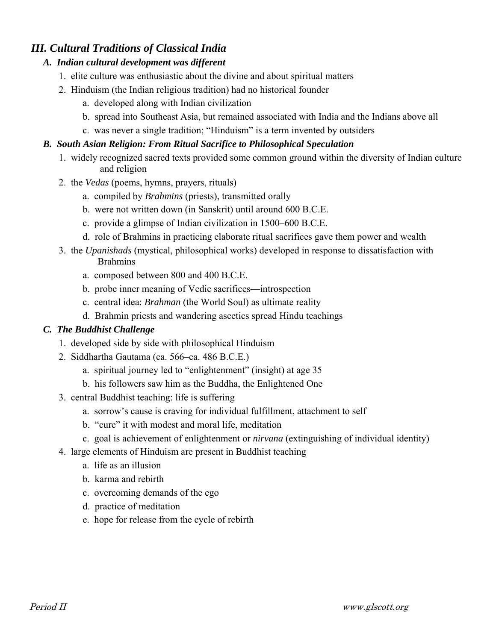# *III. Cultural Traditions of Classical India*

### *A. Indian cultural development was different*

- 1. elite culture was enthusiastic about the divine and about spiritual matters
- 2. Hinduism (the Indian religious tradition) had no historical founder
	- a. developed along with Indian civilization
	- b. spread into Southeast Asia, but remained associated with India and the Indians above all
	- c. was never a single tradition; "Hinduism" is a term invented by outsiders

### *B. South Asian Religion: From Ritual Sacrifice to Philosophical Speculation*

- 1. widely recognized sacred texts provided some common ground within the diversity of Indian culture and religion
- 2. the *Vedas* (poems, hymns, prayers, rituals)
	- a. compiled by *Brahmins* (priests), transmitted orally
	- b. were not written down (in Sanskrit) until around 600 B.C.E.
	- c. provide a glimpse of Indian civilization in 1500–600 B.C.E.
	- d. role of Brahmins in practicing elaborate ritual sacrifices gave them power and wealth
- 3. the *Upanishads* (mystical, philosophical works) developed in response to dissatisfaction with Brahmins
	- a. composed between 800 and 400 B.C.E.
	- b. probe inner meaning of Vedic sacrifices—introspection
	- c. central idea: *Brahman* (the World Soul) as ultimate reality
	- d. Brahmin priests and wandering ascetics spread Hindu teachings

### *C. The Buddhist Challenge*

- 1. developed side by side with philosophical Hinduism
- 2. Siddhartha Gautama (ca. 566–ca. 486 B.C.E.)
	- a. spiritual journey led to "enlightenment" (insight) at age 35
	- b. his followers saw him as the Buddha, the Enlightened One
- 3. central Buddhist teaching: life is suffering
	- a. sorrow's cause is craving for individual fulfillment, attachment to self
	- b. "cure" it with modest and moral life, meditation
	- c. goal is achievement of enlightenment or *nirvana* (extinguishing of individual identity)
- 4. large elements of Hinduism are present in Buddhist teaching
	- a. life as an illusion
	- b. karma and rebirth
	- c. overcoming demands of the ego
	- d. practice of meditation
	- e. hope for release from the cycle of rebirth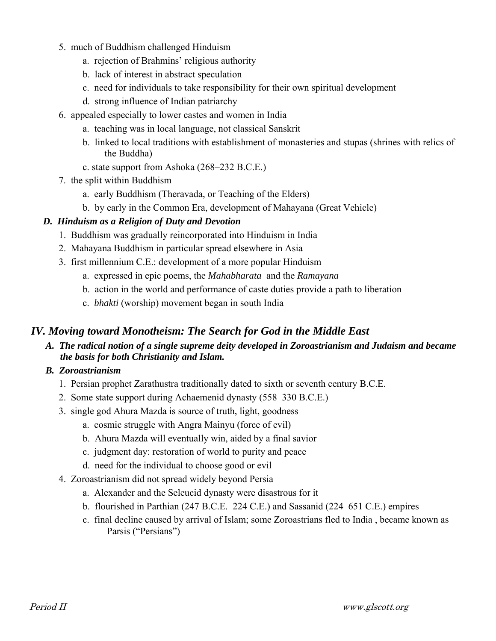- 5. much of Buddhism challenged Hinduism
	- a. rejection of Brahmins' religious authority
	- b. lack of interest in abstract speculation
	- c. need for individuals to take responsibility for their own spiritual development
	- d. strong influence of Indian patriarchy
- 6. appealed especially to lower castes and women in India
	- a. teaching was in local language, not classical Sanskrit
	- b. linked to local traditions with establishment of monasteries and stupas (shrines with relics of the Buddha)
	- c. state support from Ashoka (268–232 B.C.E.)
- 7. the split within Buddhism
	- a. early Buddhism (Theravada, or Teaching of the Elders)
	- b. by early in the Common Era, development of Mahayana (Great Vehicle)

### *D. Hinduism as a Religion of Duty and Devotion*

- 1. Buddhism was gradually reincorporated into Hinduism in India
- 2. Mahayana Buddhism in particular spread elsewhere in Asia
- 3. first millennium C.E.: development of a more popular Hinduism
	- a. expressed in epic poems, the *Mahabharata* and the *Ramayana*
	- b. action in the world and performance of caste duties provide a path to liberation
	- c. *bhakti* (worship) movement began in south India

### *IV. Moving toward Monotheism: The Search for God in the Middle East*

 *A. The radical notion of a single supreme deity developed in Zoroastrianism and Judaism and became the basis for both Christianity and Islam.*

### *B. Zoroastrianism*

- 1. Persian prophet Zarathustra traditionally dated to sixth or seventh century B.C.E.
- 2. Some state support during Achaemenid dynasty (558–330 B.C.E.)
- 3. single god Ahura Mazda is source of truth, light, goodness
	- a. cosmic struggle with Angra Mainyu (force of evil)
	- b. Ahura Mazda will eventually win, aided by a final savior
	- c. judgment day: restoration of world to purity and peace
	- d. need for the individual to choose good or evil
- 4. Zoroastrianism did not spread widely beyond Persia
	- a. Alexander and the Seleucid dynasty were disastrous for it
	- b. flourished in Parthian (247 B.C.E.–224 C.E.) and Sassanid (224–651 C.E.) empires
	- c. final decline caused by arrival of Islam; some Zoroastrians fled to India , became known as Parsis ("Persians")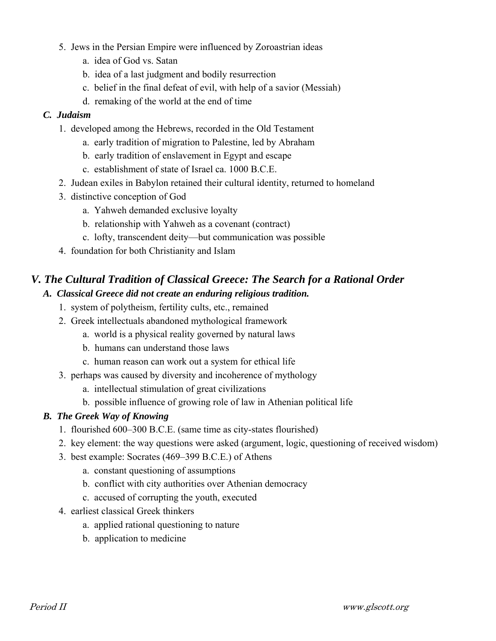- 5. Jews in the Persian Empire were influenced by Zoroastrian ideas
	- a. idea of God vs. Satan
	- b. idea of a last judgment and bodily resurrection
	- c. belief in the final defeat of evil, with help of a savior (Messiah)
	- d. remaking of the world at the end of time

### *C. Judaism*

- 1. developed among the Hebrews, recorded in the Old Testament
	- a. early tradition of migration to Palestine, led by Abraham
	- b. early tradition of enslavement in Egypt and escape
	- c. establishment of state of Israel ca. 1000 B.C.E.
- 2. Judean exiles in Babylon retained their cultural identity, returned to homeland
- 3. distinctive conception of God
	- a. Yahweh demanded exclusive loyalty
	- b. relationship with Yahweh as a covenant (contract)
	- c. lofty, transcendent deity—but communication was possible
- 4. foundation for both Christianity and Islam

# *V. The Cultural Tradition of Classical Greece: The Search for a Rational Order*

### *A. Classical Greece did not create an enduring religious tradition.*

- 1. system of polytheism, fertility cults, etc., remained
- 2. Greek intellectuals abandoned mythological framework
	- a. world is a physical reality governed by natural laws
	- b. humans can understand those laws
	- c. human reason can work out a system for ethical life
- 3. perhaps was caused by diversity and incoherence of mythology
	- a. intellectual stimulation of great civilizations
	- b. possible influence of growing role of law in Athenian political life

### *B. The Greek Way of Knowing*

- 1. flourished 600–300 B.C.E. (same time as city-states flourished)
- 2. key element: the way questions were asked (argument, logic, questioning of received wisdom)
- 3. best example: Socrates (469–399 B.C.E.) of Athens
	- a. constant questioning of assumptions
	- b. conflict with city authorities over Athenian democracy
	- c. accused of corrupting the youth, executed
- 4. earliest classical Greek thinkers
	- a. applied rational questioning to nature
	- b. application to medicine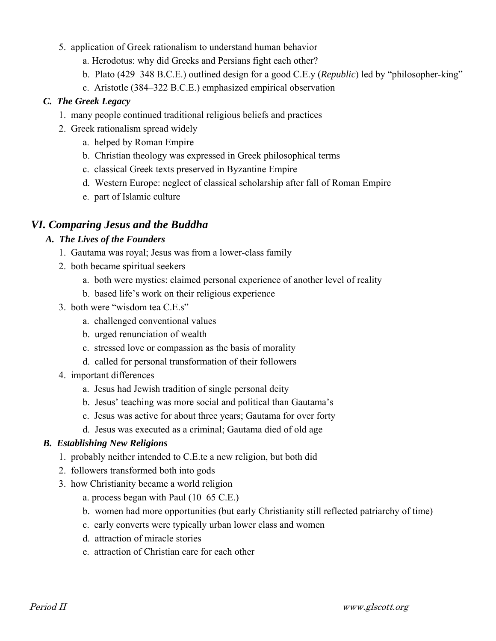- 5. application of Greek rationalism to understand human behavior
	- a. Herodotus: why did Greeks and Persians fight each other?
	- b. Plato (429–348 B.C.E.) outlined design for a good C.E.y (*Republic*) led by "philosopher-king"
	- c. Aristotle (384–322 B.C.E.) emphasized empirical observation

#### *C. The Greek Legacy*

- 1. many people continued traditional religious beliefs and practices
- 2. Greek rationalism spread widely
	- a. helped by Roman Empire
	- b. Christian theology was expressed in Greek philosophical terms
	- c. classical Greek texts preserved in Byzantine Empire
	- d. Western Europe: neglect of classical scholarship after fall of Roman Empire
	- e. part of Islamic culture

### *VI. Comparing Jesus and the Buddha*

#### *A. The Lives of the Founders*

- 1. Gautama was royal; Jesus was from a lower-class family
- 2. both became spiritual seekers
	- a. both were mystics: claimed personal experience of another level of reality
	- b. based life's work on their religious experience
- 3. both were "wisdom tea C.E.s"
	- a. challenged conventional values
	- b. urged renunciation of wealth
	- c. stressed love or compassion as the basis of morality
	- d. called for personal transformation of their followers
- 4. important differences
	- a. Jesus had Jewish tradition of single personal deity
	- b. Jesus' teaching was more social and political than Gautama's
	- c. Jesus was active for about three years; Gautama for over forty
	- d. Jesus was executed as a criminal; Gautama died of old age

#### *B. Establishing New Religions*

- 1. probably neither intended to C.E.te a new religion, but both did
- 2. followers transformed both into gods
- 3. how Christianity became a world religion
	- a. process began with Paul (10–65 C.E.)
	- b. women had more opportunities (but early Christianity still reflected patriarchy of time)
	- c. early converts were typically urban lower class and women
	- d. attraction of miracle stories
	- e. attraction of Christian care for each other